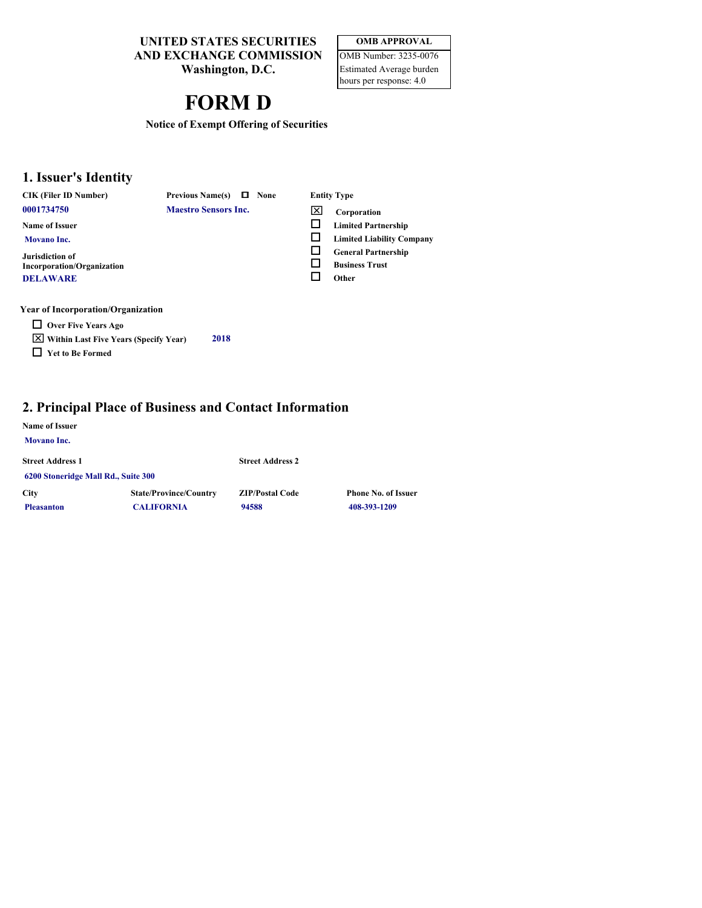**UNITED STATES SECURITIES AND EXCHANGE COMMISSION**

**Washington, D.C.**

### **OMB APPROVAL** OMB Number: 3235-0076

Estimated Average burden hours per response: 4.0

# **FORM D**

**Notice of Exempt Offering of Securities**

## **1. Issuer's Identity**

**CIK (Filer ID Number) Previous Name(s)**  $\Box$  None

**0001734750 Maestro Sensors Inc. X** 

**Name of Issuer Movano Inc.**

**Jurisdiction of Incorporation/Organization DELAWARE**

#### **Corporation** o

- **Limited Partnership** o **Limited Liability Company**
- o **General Partnership**
- o **Business Trust**
- o **Other**

**None Entity Type**

### **Year of Incorporation/Organization**

- **Over Five Years Ago**
- x **Within Last Five Years (Specify Year) 2018** o **Yet to Be Formed**

## **2. Principal Place of Business and Contact Information**

### **Name of Issuer**

| <b>Movano Inc.</b>                  |                               |                         |                            |
|-------------------------------------|-------------------------------|-------------------------|----------------------------|
| <b>Street Address 1</b>             |                               | <b>Street Address 2</b> |                            |
| 6200 Stoneridge Mall Rd., Suite 300 |                               |                         |                            |
| <b>City</b>                         | <b>State/Province/Country</b> | <b>ZIP/Postal Code</b>  | <b>Phone No. of Issuer</b> |
| <b>Pleasanton</b>                   | <b>CALIFORNIA</b>             | 94588                   | 408-393-1209               |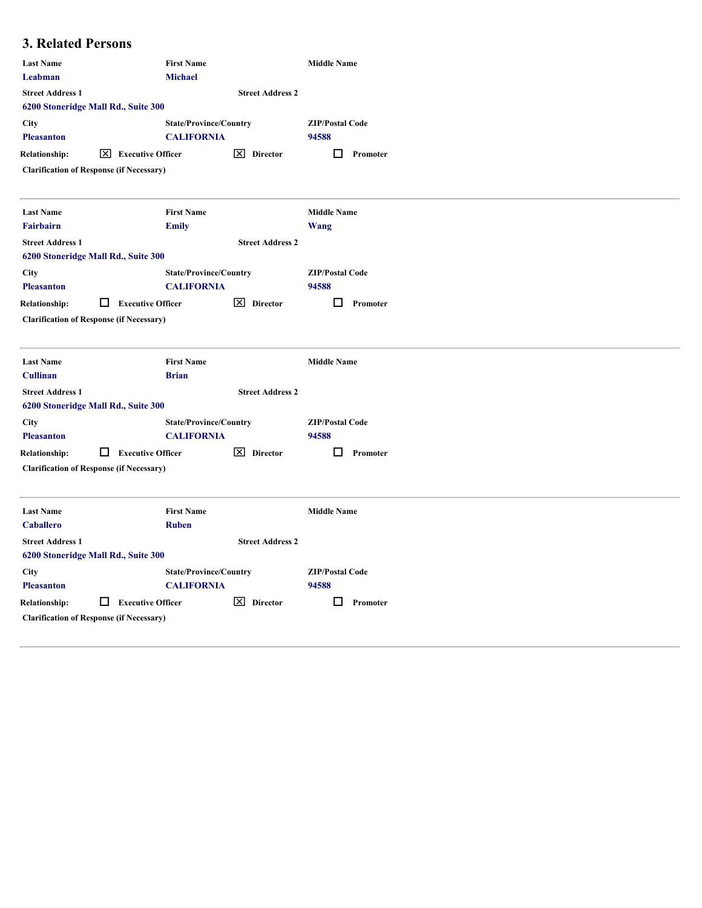## **3. Related Persons**

| <b>Michael</b><br>Leabman<br><b>Street Address 1</b><br><b>Street Address 2</b><br>6200 Stoneridge Mall Rd., Suite 300<br><b>State/Province/Country</b><br><b>ZIP/Postal Code</b><br><b>CALIFORNIA</b><br>94588<br>$\boxed{\times}$ Executive Officer<br>$\boxed{\times}$ Director<br>$\Box$ Promoter<br><b>First Name</b><br><b>Middle Name</b><br><b>Emily</b><br><b>Wang</b><br><b>Street Address 2</b><br><b>State/Province/Country</b><br><b>ZIP/Postal Code</b><br><b>CALIFORNIA</b><br>94588<br>$\Box$ Executive Officer<br>X Director<br>$\Box$ Promoter<br><b>First Name</b><br><b>Middle Name</b><br><b>Brian</b><br><b>Street Address 2</b><br><b>State/Province/Country</b><br><b>ZIP/Postal Code</b><br><b>CALIFORNIA</b><br>94588<br>$\Box$ Executive Officer<br>$\boxed{\times}$ Director<br>$\Box$ Promoter<br><b>First Name</b><br><b>Middle Name</b><br><b>Ruben</b><br><b>Street Address 2</b><br><b>State/Province/Country</b><br><b>ZIP/Postal Code</b><br><b>CALIFORNIA</b><br>94588 |                                                 |
|------------------------------------------------------------------------------------------------------------------------------------------------------------------------------------------------------------------------------------------------------------------------------------------------------------------------------------------------------------------------------------------------------------------------------------------------------------------------------------------------------------------------------------------------------------------------------------------------------------------------------------------------------------------------------------------------------------------------------------------------------------------------------------------------------------------------------------------------------------------------------------------------------------------------------------------------------------------------------------------------------------|-------------------------------------------------|
| City<br><b>Pleasanton</b><br><b>Relationship:</b><br><b>Clarification of Response (if Necessary)</b><br><b>Last Name</b><br>Fairbairn<br><b>Street Address 1</b><br>6200 Stoneridge Mall Rd., Suite 300<br><b>City</b><br><b>Pleasanton</b><br><b>Relationship:</b><br><b>Clarification of Response (if Necessary)</b><br><b>Last Name</b><br><b>Cullinan</b><br><b>Street Address 1</b><br>6200 Stoneridge Mall Rd., Suite 300<br><b>City</b><br><b>Pleasanton</b><br><b>Relationship:</b><br><b>Clarification of Response (if Necessary)</b><br><b>Last Name</b><br><b>Caballero</b><br><b>Street Address 1</b><br>6200 Stoneridge Mall Rd., Suite 300<br><b>City</b>                                                                                                                                                                                                                                                                                                                                    |                                                 |
|                                                                                                                                                                                                                                                                                                                                                                                                                                                                                                                                                                                                                                                                                                                                                                                                                                                                                                                                                                                                            |                                                 |
|                                                                                                                                                                                                                                                                                                                                                                                                                                                                                                                                                                                                                                                                                                                                                                                                                                                                                                                                                                                                            |                                                 |
|                                                                                                                                                                                                                                                                                                                                                                                                                                                                                                                                                                                                                                                                                                                                                                                                                                                                                                                                                                                                            |                                                 |
|                                                                                                                                                                                                                                                                                                                                                                                                                                                                                                                                                                                                                                                                                                                                                                                                                                                                                                                                                                                                            |                                                 |
|                                                                                                                                                                                                                                                                                                                                                                                                                                                                                                                                                                                                                                                                                                                                                                                                                                                                                                                                                                                                            |                                                 |
|                                                                                                                                                                                                                                                                                                                                                                                                                                                                                                                                                                                                                                                                                                                                                                                                                                                                                                                                                                                                            |                                                 |
|                                                                                                                                                                                                                                                                                                                                                                                                                                                                                                                                                                                                                                                                                                                                                                                                                                                                                                                                                                                                            |                                                 |
|                                                                                                                                                                                                                                                                                                                                                                                                                                                                                                                                                                                                                                                                                                                                                                                                                                                                                                                                                                                                            |                                                 |
|                                                                                                                                                                                                                                                                                                                                                                                                                                                                                                                                                                                                                                                                                                                                                                                                                                                                                                                                                                                                            |                                                 |
|                                                                                                                                                                                                                                                                                                                                                                                                                                                                                                                                                                                                                                                                                                                                                                                                                                                                                                                                                                                                            |                                                 |
|                                                                                                                                                                                                                                                                                                                                                                                                                                                                                                                                                                                                                                                                                                                                                                                                                                                                                                                                                                                                            |                                                 |
|                                                                                                                                                                                                                                                                                                                                                                                                                                                                                                                                                                                                                                                                                                                                                                                                                                                                                                                                                                                                            |                                                 |
|                                                                                                                                                                                                                                                                                                                                                                                                                                                                                                                                                                                                                                                                                                                                                                                                                                                                                                                                                                                                            |                                                 |
|                                                                                                                                                                                                                                                                                                                                                                                                                                                                                                                                                                                                                                                                                                                                                                                                                                                                                                                                                                                                            |                                                 |
|                                                                                                                                                                                                                                                                                                                                                                                                                                                                                                                                                                                                                                                                                                                                                                                                                                                                                                                                                                                                            |                                                 |
|                                                                                                                                                                                                                                                                                                                                                                                                                                                                                                                                                                                                                                                                                                                                                                                                                                                                                                                                                                                                            |                                                 |
|                                                                                                                                                                                                                                                                                                                                                                                                                                                                                                                                                                                                                                                                                                                                                                                                                                                                                                                                                                                                            |                                                 |
|                                                                                                                                                                                                                                                                                                                                                                                                                                                                                                                                                                                                                                                                                                                                                                                                                                                                                                                                                                                                            |                                                 |
|                                                                                                                                                                                                                                                                                                                                                                                                                                                                                                                                                                                                                                                                                                                                                                                                                                                                                                                                                                                                            |                                                 |
|                                                                                                                                                                                                                                                                                                                                                                                                                                                                                                                                                                                                                                                                                                                                                                                                                                                                                                                                                                                                            |                                                 |
|                                                                                                                                                                                                                                                                                                                                                                                                                                                                                                                                                                                                                                                                                                                                                                                                                                                                                                                                                                                                            |                                                 |
|                                                                                                                                                                                                                                                                                                                                                                                                                                                                                                                                                                                                                                                                                                                                                                                                                                                                                                                                                                                                            | <b>Pleasanton</b>                               |
| $\vert$ $\times$ Director<br>□.<br><b>Relationship:</b><br>$\Box$ Executive Officer<br>Promoter                                                                                                                                                                                                                                                                                                                                                                                                                                                                                                                                                                                                                                                                                                                                                                                                                                                                                                            |                                                 |
|                                                                                                                                                                                                                                                                                                                                                                                                                                                                                                                                                                                                                                                                                                                                                                                                                                                                                                                                                                                                            | <b>Clarification of Response (if Necessary)</b> |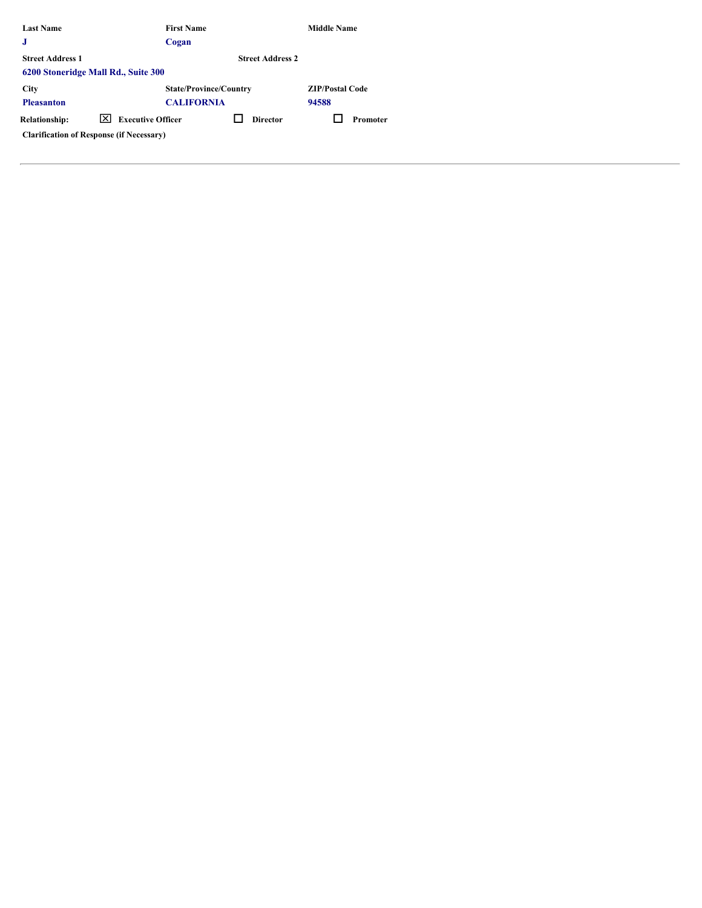| <b>Last Name</b>        |                                                 | <b>First Name</b>             | <b>Middle Name</b>     |
|-------------------------|-------------------------------------------------|-------------------------------|------------------------|
| $\bf J$                 |                                                 | Cogan                         |                        |
| <b>Street Address 1</b> |                                                 | <b>Street Address 2</b>       |                        |
|                         | 6200 Stoneridge Mall Rd., Suite 300             |                               |                        |
| City                    |                                                 | <b>State/Province/Country</b> | <b>ZIP/Postal Code</b> |
| <b>Pleasanton</b>       |                                                 | <b>CALIFORNIA</b>             | 94588                  |
| <b>Relationship:</b>    | ⊠<br><b>Executive Officer</b>                   | □<br><b>Director</b>          | Promoter               |
|                         | <b>Clarification of Response (if Necessary)</b> |                               |                        |
|                         |                                                 |                               |                        |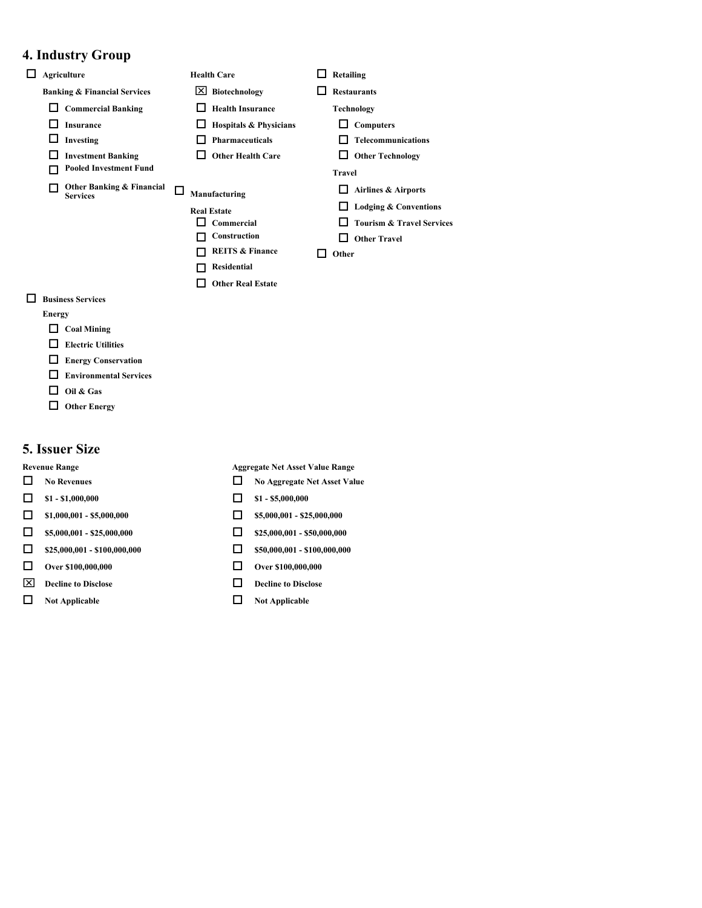## **4. Industry Group**

| $\Box$ Agriculture                                | <b>Health Care</b>              | $\Box$ Retailing             |
|---------------------------------------------------|---------------------------------|------------------------------|
| <b>Banking &amp; Financial Services</b>           | $\boxed{\times}$ Biotechnology  | $\Box$ Restaurants           |
| $\Box$ Commercial Banking                         | Health Insurance                | <b>Technology</b>            |
| $\Box$ Insurance                                  | $\Box$ Hospitals & Physicians   | $\Box$ Computers             |
| $\Box$ Investing                                  | $\Box$ Pharmaceuticals          | $\Box$ Telecommunications    |
| □<br><b>Investment Banking</b>                    | $\Box$ Other Health Care        | $\Box$ Other Technology      |
| <b>Pooled Investment Fund</b><br>П                |                                 | <b>Travel</b>                |
| Other Banking & Financial<br>П<br><b>Services</b> | $\Box$<br>Manufacturing         | $\Box$ Airlines & Airports   |
|                                                   | <b>Real Estate</b>              | $\Box$ Lodging & Conventions |
|                                                   | $\Box$ Commercial               | □ Tourism & Travel Services  |
|                                                   | Construction                    | $\Box$ Other Travel          |
|                                                   | <b>REITS &amp; Finance</b><br>п | $\Box$ Other                 |
|                                                   | Residential<br>□                |                              |
|                                                   | □<br><b>Other Real Estate</b>   |                              |
| $\Box$ Business Services                          |                                 |                              |

### **Electric Utilities**

**Energy**

- **Energy Conservation**
- **Environmental Services**
- $\Box$  Oil & Gas
- **Other Energy**

 $\Box$  Coal Mining

### **5. Issuer Size**

- 
- 
- $\Box$  \$1,000,001 \$5,000,000  $\Box$  \$5,000,001 \$25,000,000
- $\Box$  \$5,000,001 \$25,000,000  $\Box$  \$25,000,001 \$50,000,000
- $\Box$  \$25,000,001 \$100,000,000  $\Box$  \$50,000,001 \$100,000,000
- o **Over \$100,000,000** o **Over \$100,000,000**
- $\boxed{\times}$  Decline to Disclose **Decline to Disclose**
- o **Not Applicable** o **Not Applicable**

**Revenue Range Aggregate Net Asset Value Range**

- **O** No Revenues **O** No Aggregate Net Asset Value
- $\Box$  **\$1 \$1,000,000**  $\Box$  **\$1 \$5,000,000** 
	-
	-
	-
	-
	-
	-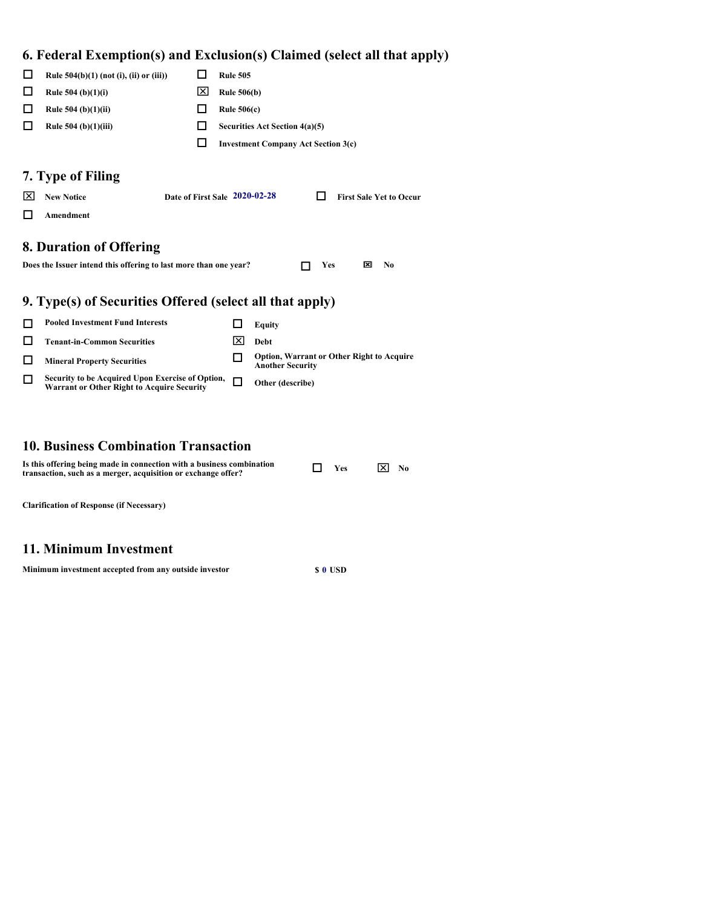## **6. Federal Exemption(s) and Exclusion(s) Claimed (select all that apply)**

|                   |                                                                                                       |   |                    | от састат плетриону) ана плетаямиру станкеа ускест ан ина арргу             |
|-------------------|-------------------------------------------------------------------------------------------------------|---|--------------------|-----------------------------------------------------------------------------|
| $\Box$            | Rule $504(b)(1)$ (not (i), (ii) or (iii))                                                             | ப | <b>Rule 505</b>    |                                                                             |
| □                 | Rule $504$ (b)(1)(i)                                                                                  | ⊠ | <b>Rule 506(b)</b> |                                                                             |
| □                 | Rule $504$ (b)(1)(ii)                                                                                 | ◻ | Rule $506(c)$      |                                                                             |
| □                 | Rule $504$ (b)(1)(iii)                                                                                | ப |                    | Securities Act Section 4(a)(5)                                              |
|                   |                                                                                                       | □ |                    | <b>Investment Company Act Section 3(c)</b>                                  |
| $\mathsf{X}$<br>□ | 7. Type of Filing<br>Date of First Sale 2020-02-28<br><b>New Notice</b><br>Amendment                  |   |                    | <b>First Sale Yet to Occur</b><br>⊔                                         |
|                   | 8. Duration of Offering<br>Does the Issuer intend this offering to last more than one year?           |   |                    | $\mathbf{\times}$<br>$\mathbf{N}\mathbf{0}$<br>п<br>Yes                     |
|                   | 9. Type(s) of Securities Offered (select all that apply)                                              |   |                    |                                                                             |
| □                 | <b>Pooled Investment Fund Interests</b>                                                               |   | □                  | <b>Equity</b>                                                               |
| □                 | <b>Tenant-in-Common Securities</b>                                                                    |   | ⊠                  | Debt                                                                        |
| □                 | <b>Mineral Property Securities</b>                                                                    |   | □                  | <b>Option, Warrant or Other Right to Acquire</b><br><b>Another Security</b> |
| □                 | Security to be Acquired Upon Exercise of Option,<br><b>Warrant or Other Right to Acquire Security</b> |   | $\Box$             | Other (describe)                                                            |

## **10. Business Combination Transaction**

| Is this offering being made in connection with a business combination<br>transaction, such as a merger, acquisition or exchange offer? | $\Box$ Yes | 区<br>No |  |
|----------------------------------------------------------------------------------------------------------------------------------------|------------|---------|--|
|                                                                                                                                        |            |         |  |

**Clarification of Response (if Necessary)**

## **11. Minimum Investment**

**Minimum investment accepted from any outside investor \$ 0 USD**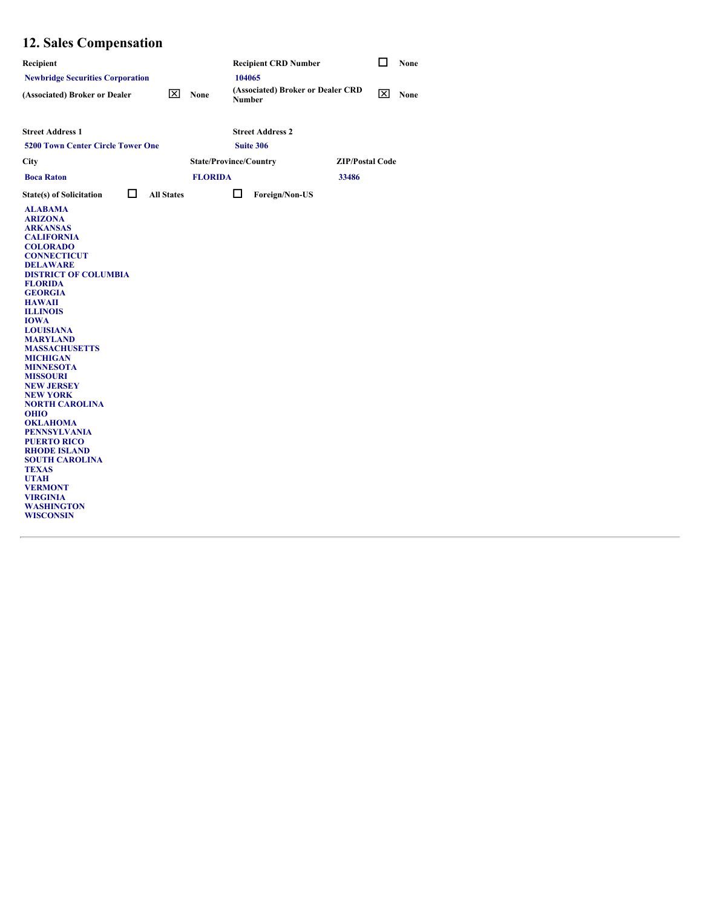# **12. Sales Compensation**

| Recipient                                                                                                                                                                                                                                                                                                                                                                                                                                                                                                                                                                                                                                                                                        | <b>Recipient CRD Number</b>                             | $\Box$      | None |  |
|--------------------------------------------------------------------------------------------------------------------------------------------------------------------------------------------------------------------------------------------------------------------------------------------------------------------------------------------------------------------------------------------------------------------------------------------------------------------------------------------------------------------------------------------------------------------------------------------------------------------------------------------------------------------------------------------------|---------------------------------------------------------|-------------|------|--|
| <b>Newbridge Securities Corporation</b>                                                                                                                                                                                                                                                                                                                                                                                                                                                                                                                                                                                                                                                          | 104065                                                  |             |      |  |
| $\overline{\mathsf{X}}$ None<br>(Associated) Broker or Dealer                                                                                                                                                                                                                                                                                                                                                                                                                                                                                                                                                                                                                                    | (Associated) Broker or Dealer CRD<br>Number             | $\boxtimes$ | None |  |
| <b>Street Address 1</b><br><b>5200 Town Center Circle Tower One</b>                                                                                                                                                                                                                                                                                                                                                                                                                                                                                                                                                                                                                              | <b>Street Address 2</b><br>Suite 306                    |             |      |  |
| City                                                                                                                                                                                                                                                                                                                                                                                                                                                                                                                                                                                                                                                                                             | <b>State/Province/Country</b><br><b>ZIP/Postal Code</b> |             |      |  |
| <b>Boca Raton</b>                                                                                                                                                                                                                                                                                                                                                                                                                                                                                                                                                                                                                                                                                | <b>FLORIDA</b><br>33486                                 |             |      |  |
| $\Box$<br><b>All States</b><br><b>State(s) of Solicitation</b>                                                                                                                                                                                                                                                                                                                                                                                                                                                                                                                                                                                                                                   | $\Box$<br>Foreign/Non-US                                |             |      |  |
| <b>ALABAMA</b><br><b>ARIZONA</b><br><b>ARKANSAS</b><br><b>CALIFORNIA</b><br><b>COLORADO</b><br><b>CONNECTICUT</b><br><b>DELAWARE</b><br><b>DISTRICT OF COLUMBIA</b><br><b>FLORIDA</b><br><b>GEORGIA</b><br><b>HAWAII</b><br><b>ILLINOIS</b><br><b>IOWA</b><br><b>LOUISIANA</b><br><b>MARYLAND</b><br><b>MASSACHUSETTS</b><br><b>MICHIGAN</b><br><b>MINNESOTA</b><br><b>MISSOURI</b><br><b>NEW JERSEY</b><br><b>NEW YORK</b><br><b>NORTH CAROLINA</b><br><b>OHIO</b><br><b>OKLAHOMA</b><br><b>PENNSYLVANIA</b><br><b>PUERTO RICO</b><br><b>RHODE ISLAND</b><br><b>SOUTH CAROLINA</b><br><b>TEXAS</b><br><b>UTAH</b><br><b>VERMONT</b><br><b>VIRGINIA</b><br><b>WASHINGTON</b><br><b>WISCONSIN</b> |                                                         |             |      |  |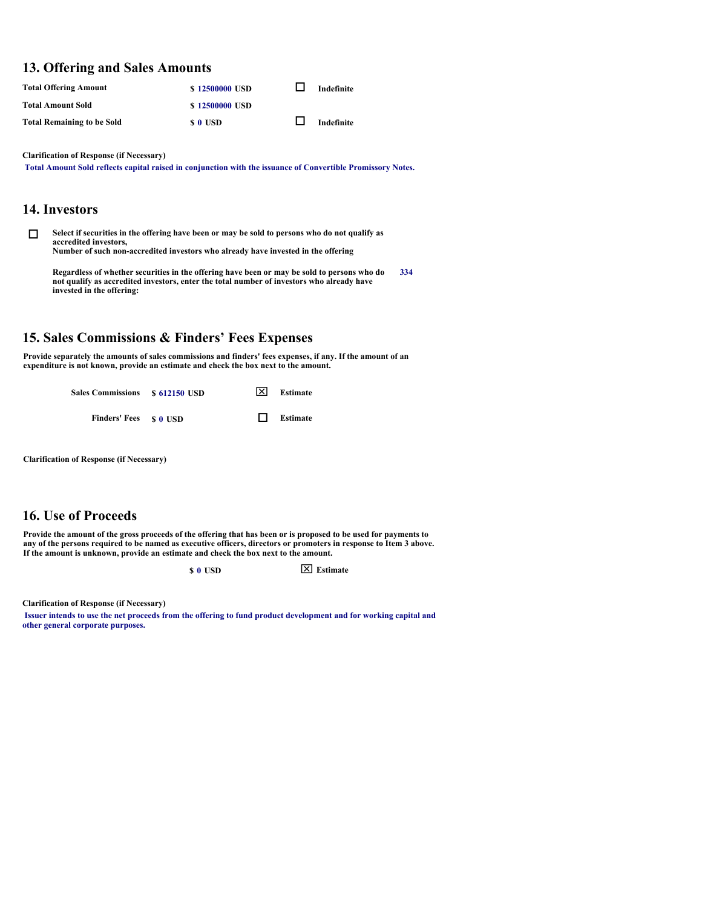### **13. Offering and Sales Amounts**

| <b>Total Offering Amount</b>      | \$12500000 USD | Indefinite |
|-----------------------------------|----------------|------------|
| Total Amount Sold                 | \$12500000 USD |            |
| <b>Total Remaining to be Sold</b> | s o usd        | Indefinite |

**Clarification of Response (if Necessary)**

**Total Amount Sold reflects capital raised in conjunction with the issuance of Convertible Promissory Notes.**

### **14. Investors**

**O** Select if securities in the offering have been or may be sold to persons who do not qualify as **accredited investors, Number of such non-accredited investors who already have invested in the offering** 

**Regardless of whether securities in the offering have been or may be sold to persons who do not qualify as accredited investors, enter the total number of investors who already have invested in the offering: 334**

### **15. Sales Commissions & Finders' Fees Expenses**

**Provide separately the amounts of sales commissions and finders' fees expenses, if any. If the amount of an expenditure is not known, provide an estimate and check the box next to the amount.** 

| <b>Sales Commissions</b> | \$ 612150 USD | 区 | Estimate |
|--------------------------|---------------|---|----------|
| Finders' Fees \$ 0 USD   |               |   | Estimate |

**Clarification of Response (if Necessary)**

### **16. Use of Proceeds**

**Provide the amount of the gross proceeds of the offering that has been or is proposed to be used for payments to any of the persons required to be named as executive officers, directors or promoters in response to Item 3 above. If the amount is unknown, provide an estimate and check the box next to the amount.** 

 $\boxed{\times}$  **Extimate** 

**Clarification of Response (if Necessary)**

**Issuer intends to use the net proceeds from the offering to fund product development and for working capital and other general corporate purposes.**